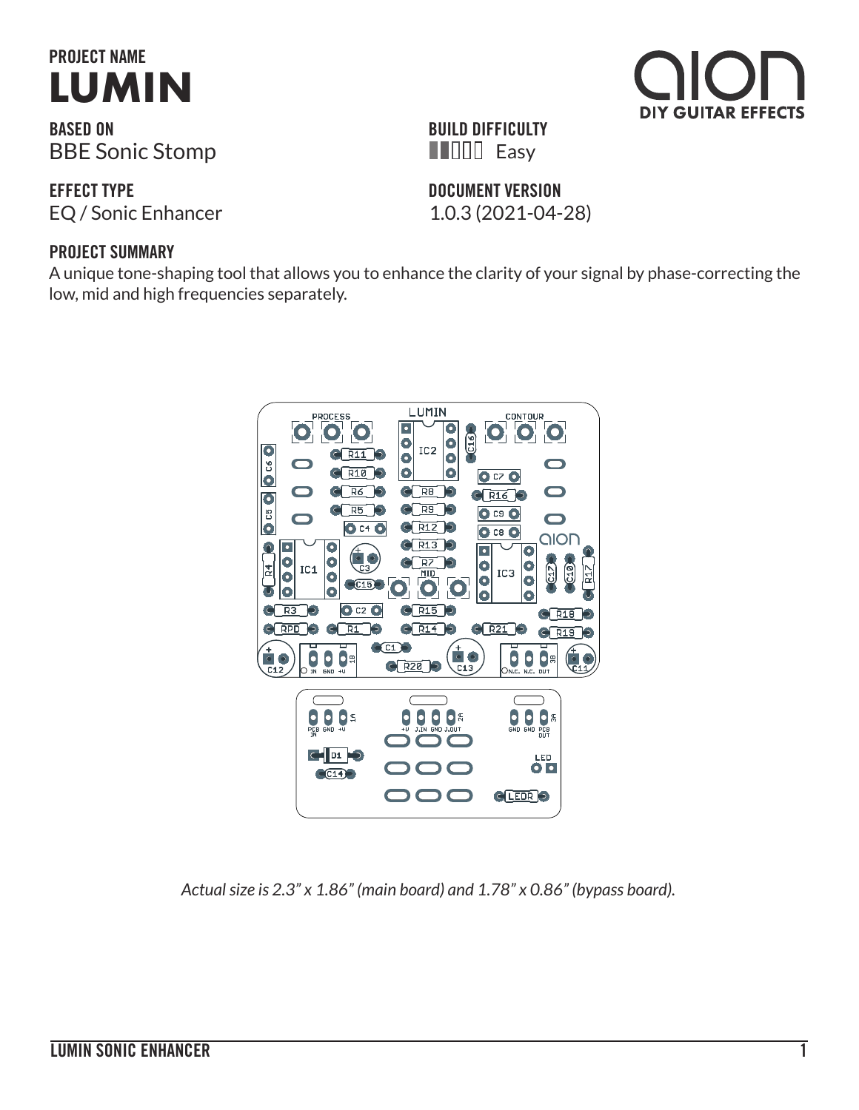# **PROJECT NAME [LUMIN](https://aionfx.com/project/lumin-sonic-enhancer/)**

**BASED ON** BBE Sonic Stomp

**EFFECT TYPE** EQ / Sonic Enhancer 1.0.3 (2021-04-28)

#### **PROJECT SUMMARY**

A unique tone-shaping tool that allows you to enhance the clarity of your signal by phase-correcting the low, mid and high frequencies separately.



| $\blacksquare$ $\blacksquare$ Easy |  |
|------------------------------------|--|
| <b>DOCUMENT VERSION</b>            |  |

**BUILD DIFFICULTY**



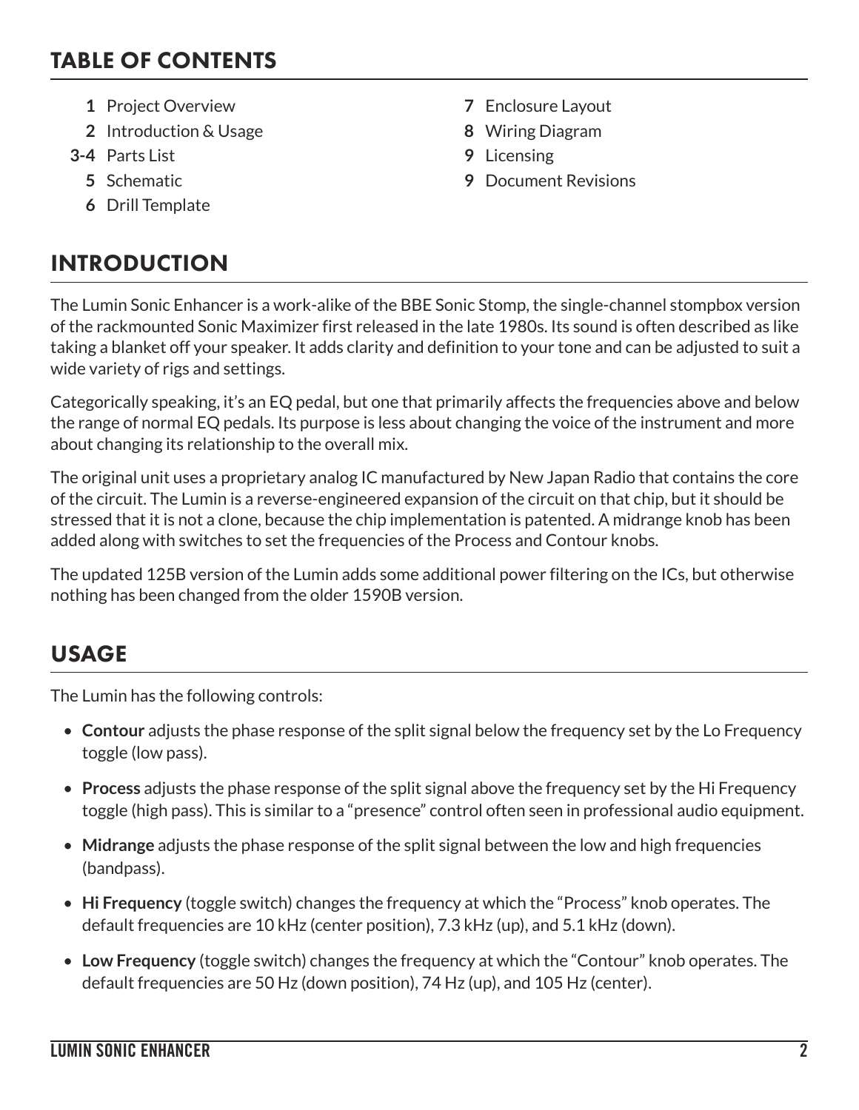## TABLE OF CONTENTS

- **1** Project Overview **7** Enclosure Layout
- **2** Introduction & Usage **8** Wiring Diagram
- **3-4** Parts List **9** Licensing
	-
	- **6** Drill Template

# INTRODUCTION

- 
- 
- 
- **5** Schematic **9** Document Revisions

The Lumin Sonic Enhancer is a work-alike of the BBE Sonic Stomp, the single-channel stompbox version of the rackmounted Sonic Maximizer first released in the late 1980s. Its sound is often described as like taking a blanket off your speaker. It adds clarity and definition to your tone and can be adjusted to suit a wide variety of rigs and settings.

Categorically speaking, it's an EQ pedal, but one that primarily affects the frequencies above and below the range of normal EQ pedals. Its purpose is less about changing the voice of the instrument and more about changing its relationship to the overall mix.

The original unit uses a proprietary analog IC manufactured by New Japan Radio that contains the core of the circuit. The Lumin is a reverse-engineered expansion of the circuit on that chip, but it should be stressed that it is not a clone, because the chip implementation is patented. A midrange knob has been added along with switches to set the frequencies of the Process and Contour knobs.

The updated 125B version of the Lumin adds some additional power filtering on the ICs, but otherwise nothing has been changed from the older 1590B version.

# USAGE

The Lumin has the following controls:

- **Contour** adjusts the phase response of the split signal below the frequency set by the Lo Frequency toggle (low pass).
- **Process** adjusts the phase response of the split signal above the frequency set by the Hi Frequency toggle (high pass). This is similar to a "presence" control often seen in professional audio equipment.
- **Midrange** adjusts the phase response of the split signal between the low and high frequencies (bandpass).
- **Hi Frequency** (toggle switch) changes the frequency at which the "Process" knob operates. The default frequencies are 10 kHz (center position), 7.3 kHz (up), and 5.1 kHz (down).
- **Low Frequency** (toggle switch) changes the frequency at which the "Contour" knob operates. The default frequencies are 50 Hz (down position), 74 Hz (up), and 105 Hz (center).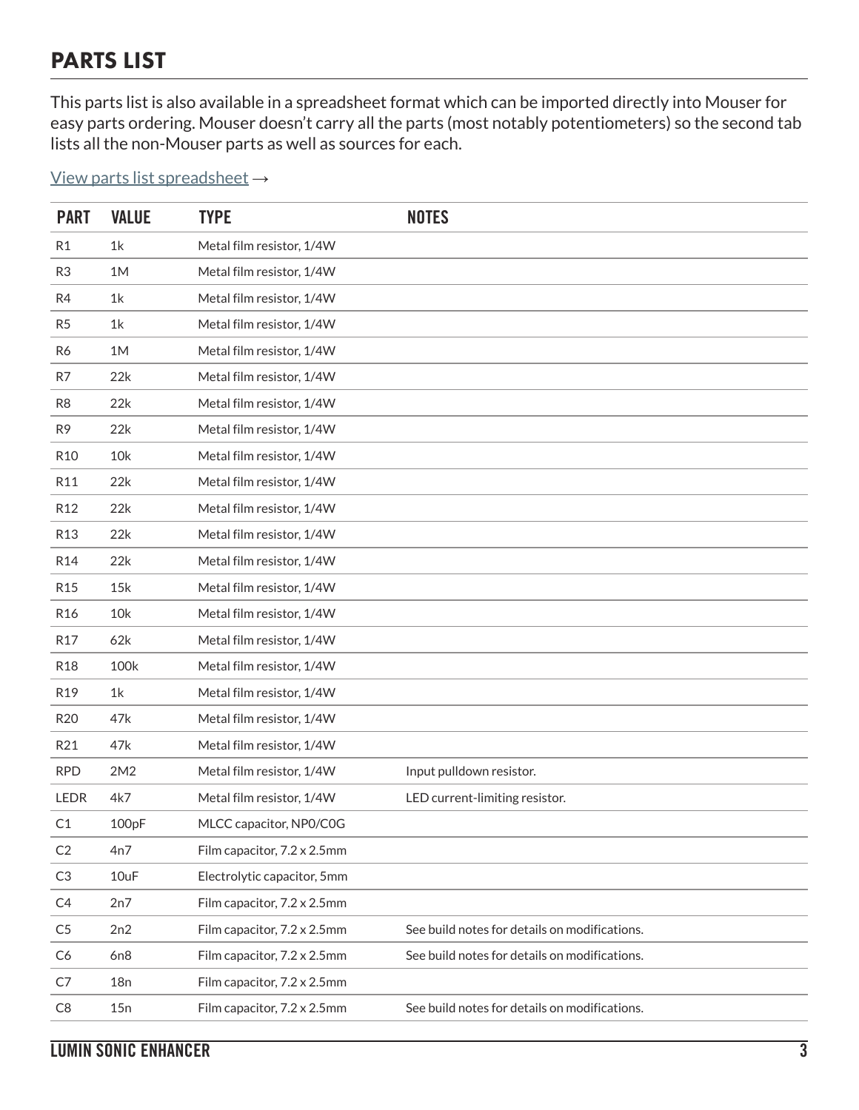## PARTS LIST

This parts list is also available in a spreadsheet format which can be imported directly into Mouser for easy parts ordering. Mouser doesn't carry all the parts (most notably potentiometers) so the second tab lists all the non-Mouser parts as well as sources for each.

[View parts list spreadsheet](https://docs.google.com/spreadsheets/d/1VECv1sUSH4CogKO5oUx3wQS5J-CbQYcrzfYUN8-AlGA/edit?usp=sharing) →

| <b>PART</b>     | <b>VALUE</b> | <b>TYPE</b>                 | <b>NOTES</b>                                  |
|-----------------|--------------|-----------------------------|-----------------------------------------------|
| R <sub>1</sub>  | 1k           | Metal film resistor, 1/4W   |                                               |
| R <sub>3</sub>  | 1M           | Metal film resistor, 1/4W   |                                               |
| R4              | 1k           | Metal film resistor, 1/4W   |                                               |
| R5              | 1k           | Metal film resistor, 1/4W   |                                               |
| R6              | 1M           | Metal film resistor, 1/4W   |                                               |
| R7              | 22k          | Metal film resistor, 1/4W   |                                               |
| R <sub>8</sub>  | 22k          | Metal film resistor, 1/4W   |                                               |
| R <sub>9</sub>  | 22k          | Metal film resistor, 1/4W   |                                               |
| R <sub>10</sub> | 10k          | Metal film resistor, 1/4W   |                                               |
| R11             | 22k          | Metal film resistor, 1/4W   |                                               |
| R <sub>12</sub> | 22k          | Metal film resistor, 1/4W   |                                               |
| <b>R13</b>      | 22k          | Metal film resistor, 1/4W   |                                               |
| R <sub>14</sub> | 22k          | Metal film resistor, 1/4W   |                                               |
| R <sub>15</sub> | 15k          | Metal film resistor, 1/4W   |                                               |
| R <sub>16</sub> | 10k          | Metal film resistor, 1/4W   |                                               |
| R <sub>17</sub> | 62k          | Metal film resistor, 1/4W   |                                               |
| <b>R18</b>      | 100k         | Metal film resistor, 1/4W   |                                               |
| R19             | 1k           | Metal film resistor, 1/4W   |                                               |
| <b>R20</b>      | 47k          | Metal film resistor, 1/4W   |                                               |
| R21             | 47k          | Metal film resistor, 1/4W   |                                               |
| <b>RPD</b>      | 2M2          | Metal film resistor, 1/4W   | Input pulldown resistor.                      |
| LEDR            | 4k7          | Metal film resistor, 1/4W   | LED current-limiting resistor.                |
| C1              | 100pF        | MLCC capacitor, NP0/C0G     |                                               |
| C <sub>2</sub>  | 4n7          | Film capacitor, 7.2 x 2.5mm |                                               |
| C <sub>3</sub>  | 10uF         | Electrolytic capacitor, 5mm |                                               |
| C4              | 2n7          | Film capacitor, 7.2 x 2.5mm |                                               |
| C <sub>5</sub>  | 2n2          | Film capacitor, 7.2 x 2.5mm | See build notes for details on modifications. |
| C <sub>6</sub>  | 6n8          | Film capacitor, 7.2 x 2.5mm | See build notes for details on modifications. |
| C7              | 18n          | Film capacitor, 7.2 x 2.5mm |                                               |
| C8              | 15n          | Film capacitor, 7.2 x 2.5mm | See build notes for details on modifications. |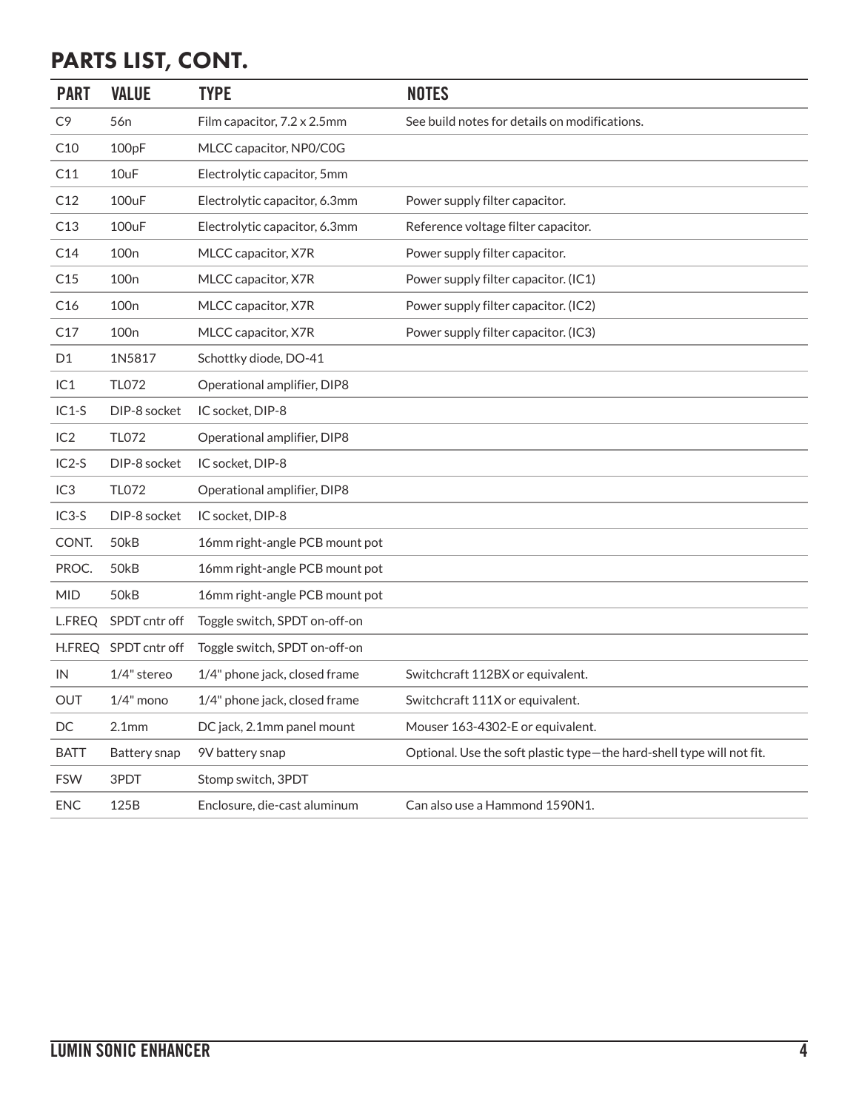# PARTS LIST, CONT.

| <b>PART</b>     | <b>VALUE</b>         | <b>TYPE</b>                    | <b>NOTES</b>                                                          |
|-----------------|----------------------|--------------------------------|-----------------------------------------------------------------------|
| C <sub>9</sub>  | 56 <sub>n</sub>      | Film capacitor, 7.2 x 2.5mm    | See build notes for details on modifications.                         |
| C10             | 100pF                | MLCC capacitor, NP0/C0G        |                                                                       |
| C11             | 10uF                 | Electrolytic capacitor, 5mm    |                                                                       |
| C12             | 100uF                | Electrolytic capacitor, 6.3mm  | Power supply filter capacitor.                                        |
| C13             | 100uF                | Electrolytic capacitor, 6.3mm  | Reference voltage filter capacitor.                                   |
| C14             | 100 <sub>n</sub>     | MLCC capacitor, X7R            | Power supply filter capacitor.                                        |
| C15             | 100 <sub>n</sub>     | MLCC capacitor, X7R            | Power supply filter capacitor. (IC1)                                  |
| C16             | 100 <sub>n</sub>     | MLCC capacitor, X7R            | Power supply filter capacitor. (IC2)                                  |
| C17             | 100 <sub>n</sub>     | MLCC capacitor, X7R            | Power supply filter capacitor. (IC3)                                  |
| D <sub>1</sub>  | 1N5817               | Schottky diode, DO-41          |                                                                       |
| IC1             | <b>TL072</b>         | Operational amplifier, DIP8    |                                                                       |
| $IC1-S$         | DIP-8 socket         | IC socket, DIP-8               |                                                                       |
| IC2             | <b>TL072</b>         | Operational amplifier, DIP8    |                                                                       |
| $IC2-S$         | DIP-8 socket         | IC socket, DIP-8               |                                                                       |
| IC <sub>3</sub> | <b>TL072</b>         | Operational amplifier, DIP8    |                                                                       |
| $IC3-S$         | DIP-8 socket         | IC socket, DIP-8               |                                                                       |
| CONT.           | 50kB                 | 16mm right-angle PCB mount pot |                                                                       |
| PROC.           | 50kB                 | 16mm right-angle PCB mount pot |                                                                       |
| <b>MID</b>      | 50kB                 | 16mm right-angle PCB mount pot |                                                                       |
| L.FREQ          | SPDT cntr off        | Toggle switch, SPDT on-off-on  |                                                                       |
|                 | H.FREQ SPDT cntr off | Toggle switch, SPDT on-off-on  |                                                                       |
| IN              | 1/4" stereo          | 1/4" phone jack, closed frame  | Switchcraft 112BX or equivalent.                                      |
| OUT             | $1/4"$ mono          | 1/4" phone jack, closed frame  | Switchcraft 111X or equivalent.                                       |
| DC              | 2.1 <sub>mm</sub>    | DC jack, 2.1mm panel mount     | Mouser 163-4302-E or equivalent.                                      |
| <b>BATT</b>     | Battery snap         | 9V battery snap                | Optional. Use the soft plastic type-the hard-shell type will not fit. |
| <b>FSW</b>      | 3PDT                 | Stomp switch, 3PDT             |                                                                       |
| <b>ENC</b>      | 125B                 | Enclosure, die-cast aluminum   | Can also use a Hammond 1590N1.                                        |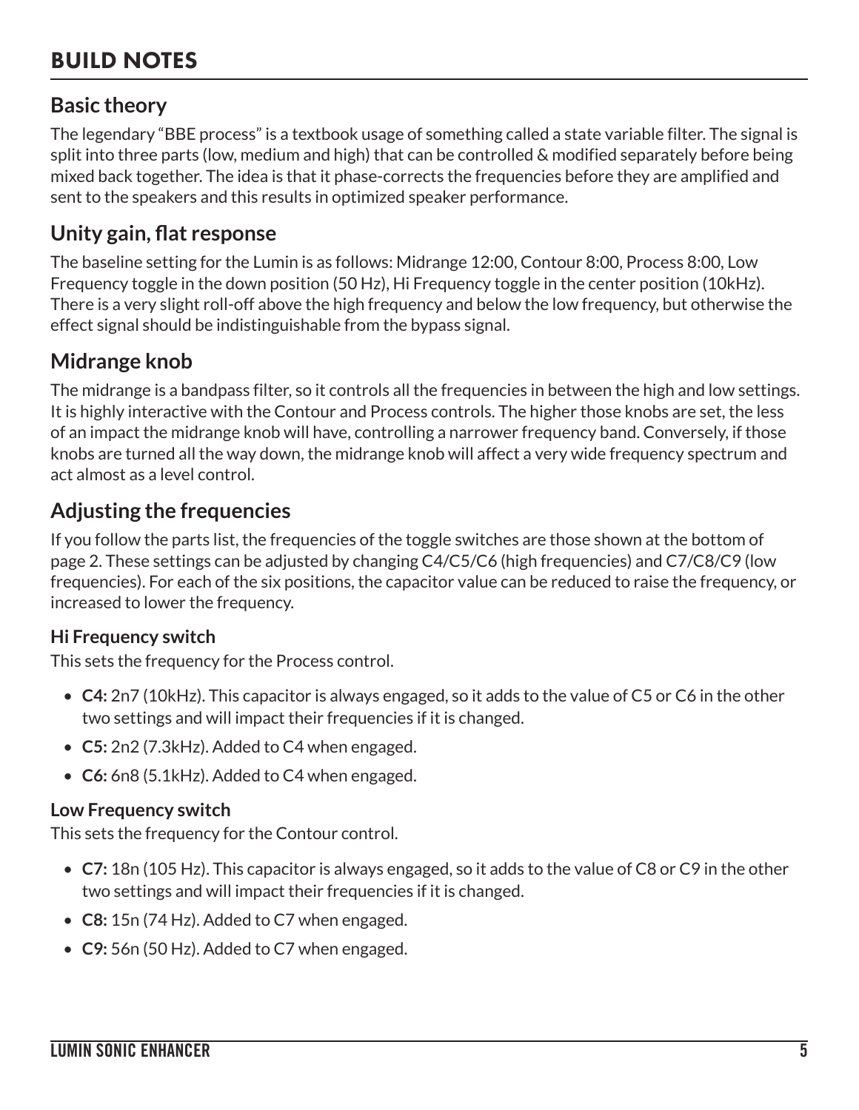# BUILD NOTES

### **Basic theory**

The legendary "BBE process" is a textbook usage of something called a state variable filter. The signal is split into three parts (low, medium and high) that can be controlled & modified separately before being mixed back together. The idea is that it phase-corrects the frequencies before they are amplified and sent to the speakers and this results in optimized speaker performance.

### **Unity gain, flat response**

The baseline setting for the Lumin is as follows: Midrange 12:00, Contour 8:00, Process 8:00, Low Frequency toggle in the down position (50 Hz), Hi Frequency toggle in the center position (10kHz). There is a very slight roll-off above the high frequency and below the low frequency, but otherwise the effect signal should be indistinguishable from the bypass signal.

### **Midrange knob**

The midrange is a bandpass filter, so it controls all the frequencies in between the high and low settings. It is highly interactive with the Contour and Process controls. The higher those knobs are set, the less of an impact the midrange knob will have, controlling a narrower frequency band. Conversely, if those knobs are turned all the way down, the midrange knob will affect a very wide frequency spectrum and act almost as a level control.

### **Adjusting the frequencies**

If you follow the parts list, the frequencies of the toggle switches are those shown at the bottom of page 2. These settings can be adjusted by changing C4/C5/C6 (high frequencies) and C7/C8/C9 (low frequencies). For each of the six positions, the capacitor value can be reduced to raise the frequency, or increased to lower the frequency.

#### **Hi Frequency switch**

This sets the frequency for the Process control.

- **C4:** 2n7 (10kHz). This capacitor is always engaged, so it adds to the value of C5 or C6 in the other two settings and will impact their frequencies if it is changed.
- **C5:** 2n2 (7.3kHz). Added to C4 when engaged.
- **C6:** 6n8 (5.1kHz). Added to C4 when engaged.

#### **Low Frequency switch**

This sets the frequency for the Contour control.

- **C7:** 18n (105 Hz). This capacitor is always engaged, so it adds to the value of C8 or C9 in the other two settings and will impact their frequencies if it is changed.
- **C8:** 15n (74 Hz). Added to C7 when engaged.
- **C9:** 56n (50 Hz). Added to C7 when engaged.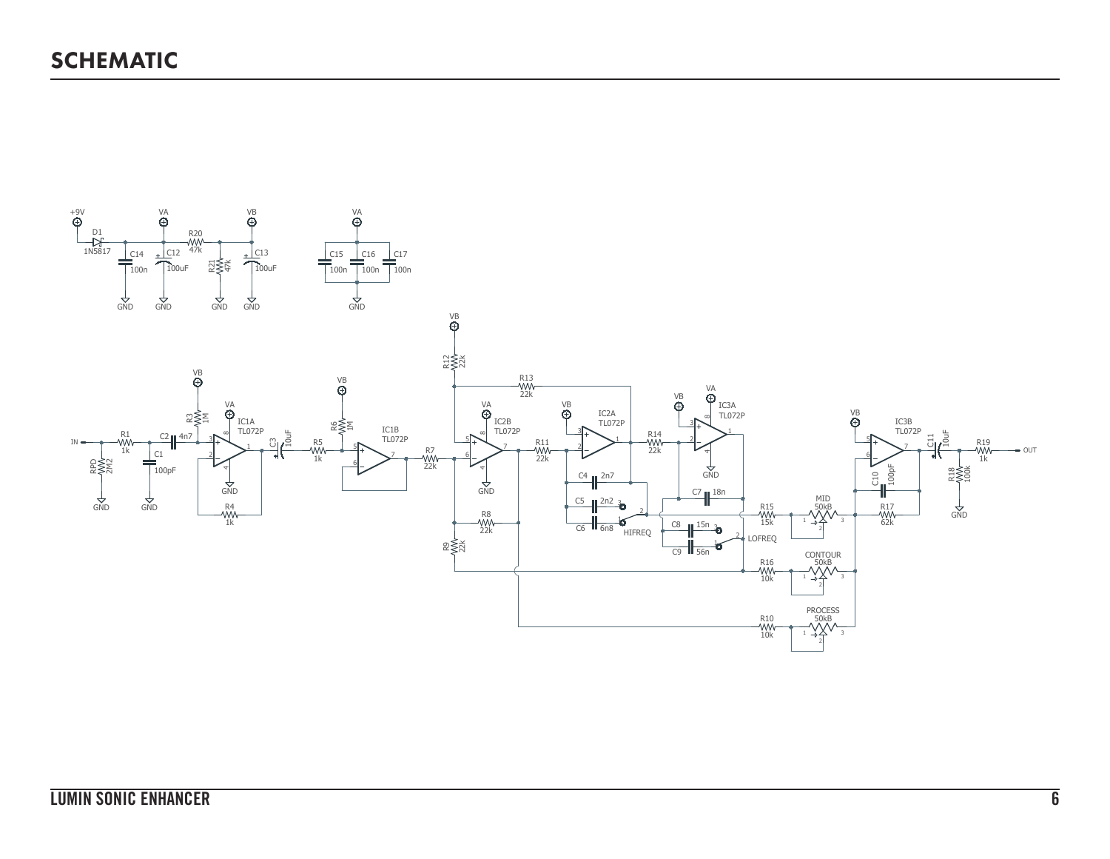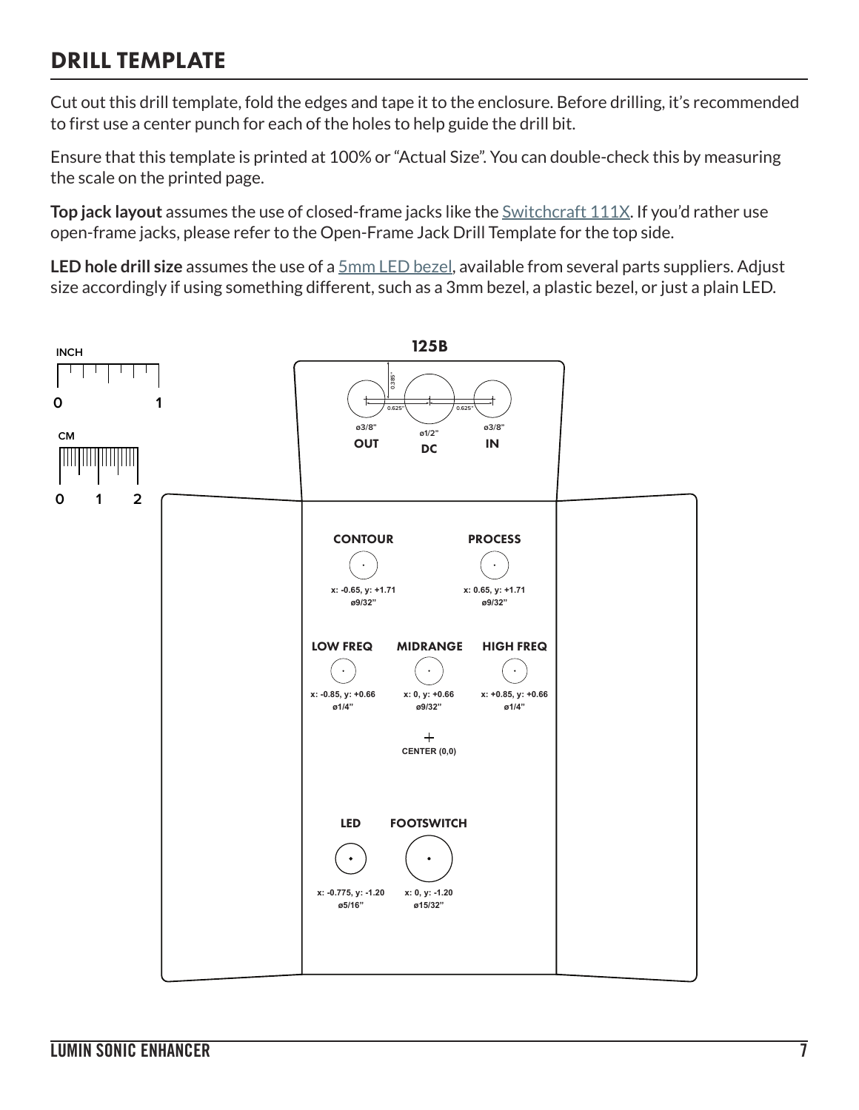## DRILL TEMPLATE

Cut out this drill template, fold the edges and tape it to the enclosure. Before drilling, it's recommended to first use a center punch for each of the holes to help guide the drill bit.

Ensure that this template is printed at 100% or "Actual Size". You can double-check this by measuring the scale on the printed page.

**Top jack layout** assumes the use of closed-frame jacks like the **Switchcraft 111X**. If you'd rather use open-frame jacks, please refer to the Open-Frame Jack Drill Template for the top side.

**LED hole drill size** assumes the use of a [5mm LED bezel,](https://aionfx.com/link/chrome-bezel-for-5mm-led/) available from several parts suppliers. Adjust size accordingly if using something different, such as a 3mm bezel, a plastic bezel, or just a plain LED.

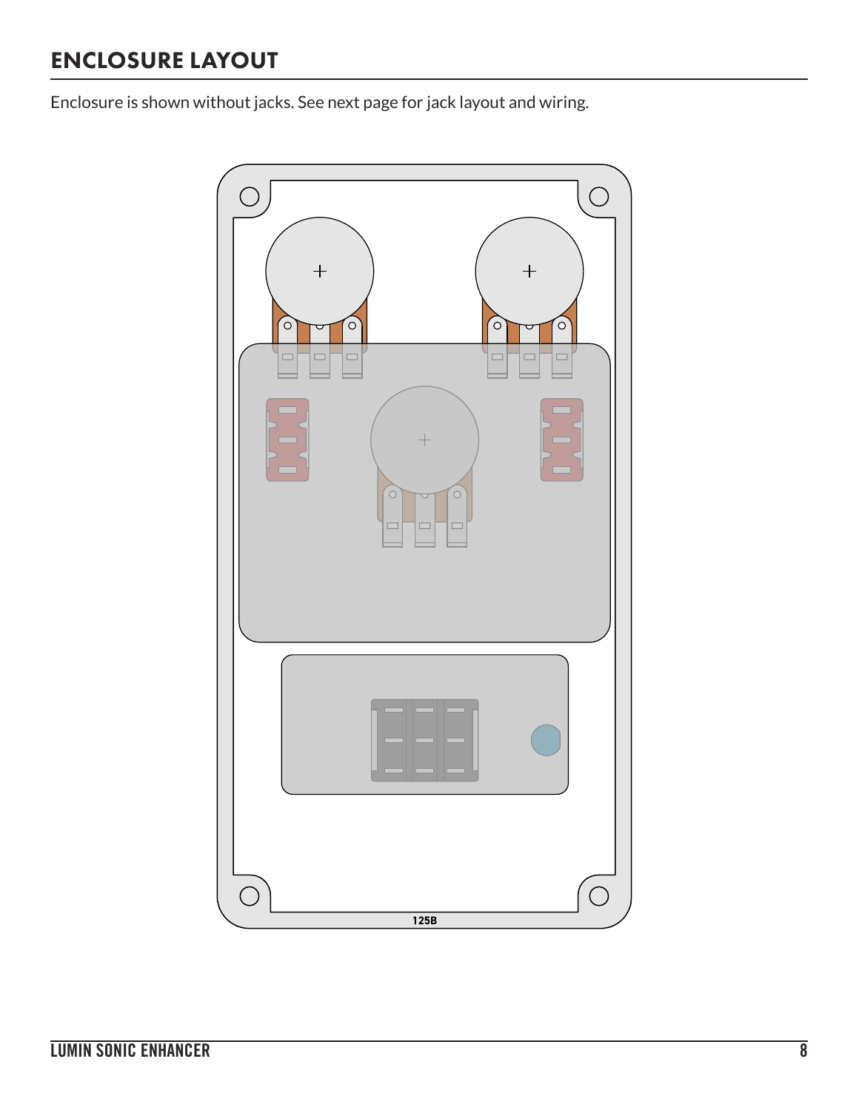# ENCLOSURE LAYOUT

Enclosure is shown without jacks. See next page for jack layout and wiring.

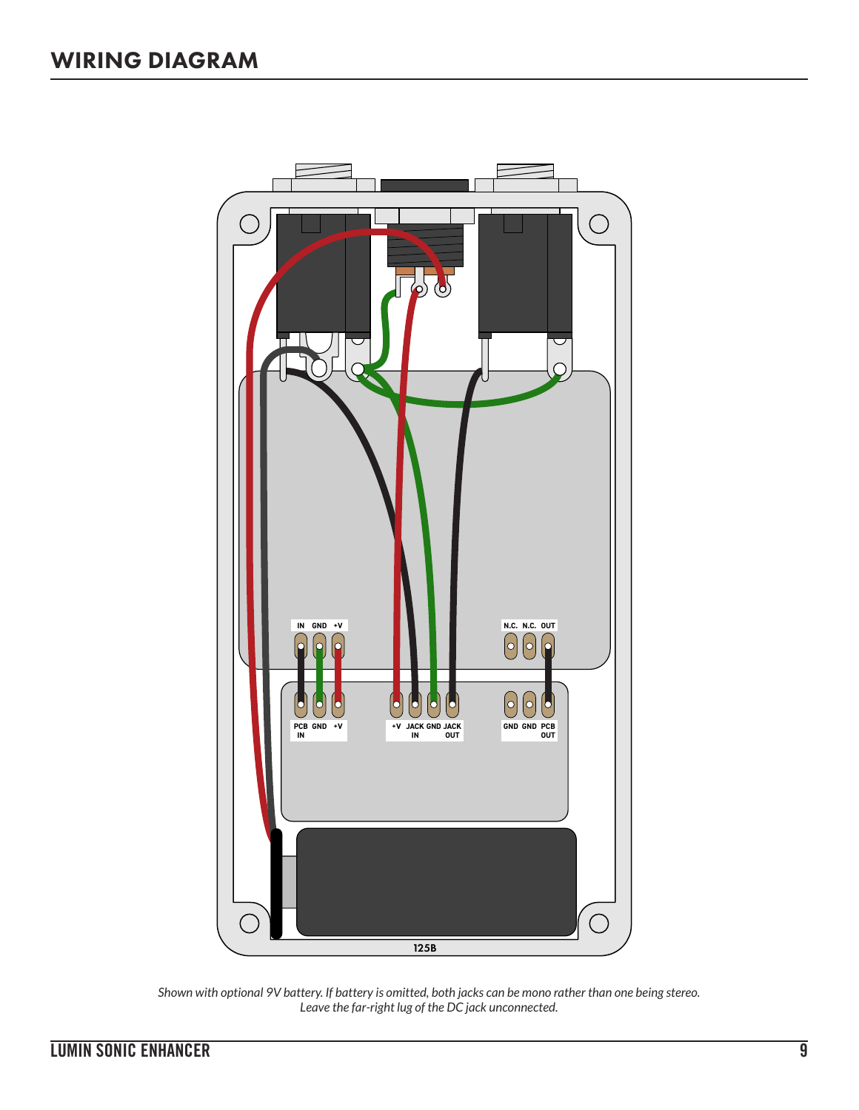

*Shown with optional 9V battery. If battery is omitted, both jacks can be mono rather than one being stereo. Leave the far-right lug of the DC jack unconnected.*